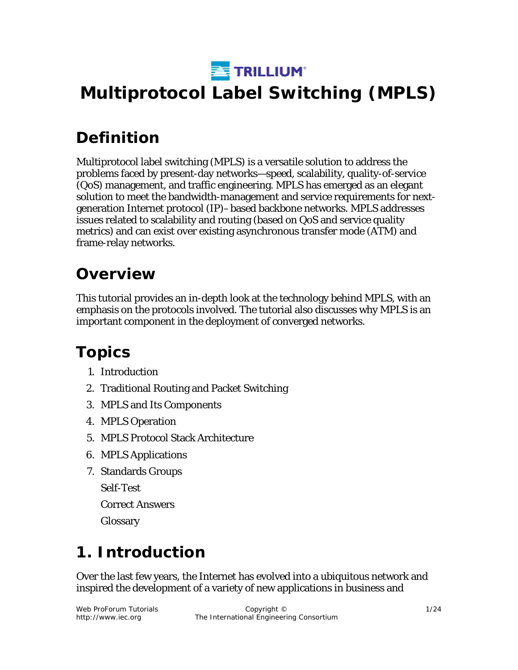

# **Multiprotocol Label Switching (MPLS)**

# **Definition**

Multiprotocol label switching (MPLS) is a versatile solution to address the problems faced by present-day networks—speed, scalability, quality-of-service (QoS) management, and traffic engineering. MPLS has emerged as an elegant solution to meet the bandwidth-management and service requirements for nextgeneration Internet protocol (IP)–based backbone networks. MPLS addresses issues related to scalability and routing (based on QoS and service quality metrics) and can exist over existing asynchronous transfer mode (ATM) and frame-relay networks.

## **Overview**

This tutorial provides an in-depth look at the technology behind MPLS, with an emphasis on the protocols involved. The tutorial also discusses why MPLS is an important component in the deployment of converged networks.

## **Topics**

- 1. Introduction
- 2. Traditional Routing and Packet Switching
- 3. MPLS and Its Components
- 4. MPLS Operation
- 5. MPLS Protocol Stack Architecture
- 6. MPLS Applications
- 7. Standards Groups

Self-Test

Correct Answers

Glossary

## **1. Introduction**

Over the last few years, the Internet has evolved into a ubiquitous network and inspired the development of a variety of new applications in business and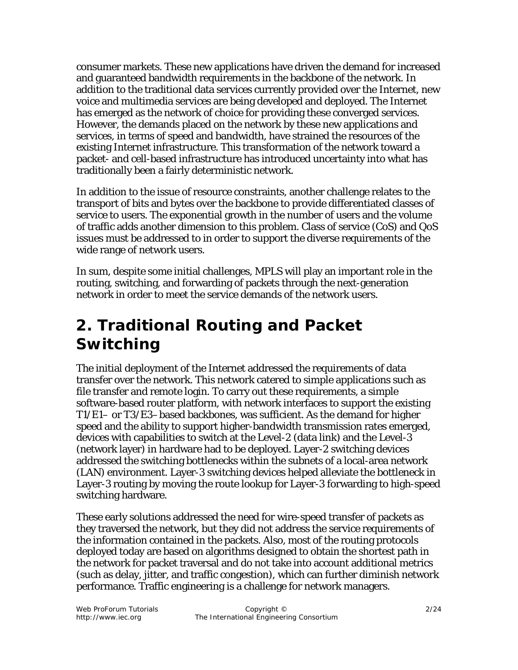consumer markets. These new applications have driven the demand for increased and guaranteed bandwidth requirements in the backbone of the network. In addition to the traditional data services currently provided over the Internet, new voice and multimedia services are being developed and deployed. The Internet has emerged as the network of choice for providing these converged services. However, the demands placed on the network by these new applications and services, in terms of speed and bandwidth, have strained the resources of the existing Internet infrastructure. This transformation of the network toward a packet- and cell-based infrastructure has introduced uncertainty into what has traditionally been a fairly deterministic network.

In addition to the issue of resource constraints, another challenge relates to the transport of bits and bytes over the backbone to provide differentiated classes of service to users. The exponential growth in the number of users and the volume of traffic adds another dimension to this problem. Class of service (CoS) and QoS issues must be addressed to in order to support the diverse requirements of the wide range of network users.

In sum, despite some initial challenges, MPLS will play an important role in the routing, switching, and forwarding of packets through the next-generation network in order to meet the service demands of the network users.

## **2. Traditional Routing and Packet Switching**

The initial deployment of the Internet addressed the requirements of data transfer over the network. This network catered to simple applications such as file transfer and remote login. To carry out these requirements, a simple software-based router platform, with network interfaces to support the existing T1/E1– or T3/E3–based backbones, was sufficient. As the demand for higher speed and the ability to support higher-bandwidth transmission rates emerged, devices with capabilities to switch at the Level-2 (data link) and the Level-3 (network layer) in hardware had to be deployed. Layer-2 switching devices addressed the switching bottlenecks within the subnets of a local-area network (LAN) environment. Layer-3 switching devices helped alleviate the bottleneck in Layer-3 routing by moving the route lookup for Layer-3 forwarding to high-speed switching hardware.

These early solutions addressed the need for wire-speed transfer of packets as they traversed the network, but they did not address the service requirements of the information contained in the packets. Also, most of the routing protocols deployed today are based on algorithms designed to obtain the shortest path in the network for packet traversal and do not take into account additional metrics (such as delay, jitter, and traffic congestion), which can further diminish network performance. Traffic engineering is a challenge for network managers.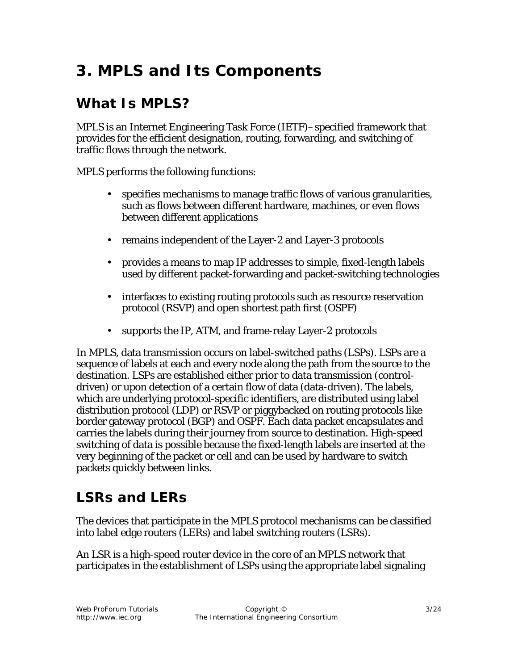## **3. MPLS and Its Components**

### **What Is MPLS?**

MPLS is an Internet Engineering Task Force (IETF)–specified framework that provides for the efficient designation, routing, forwarding, and switching of traffic flows through the network.

MPLS performs the following functions:

- specifies mechanisms to manage traffic flows of various granularities, such as flows between different hardware, machines, or even flows between different applications
- remains independent of the Layer-2 and Layer-3 protocols
- provides a means to map IP addresses to simple, fixed-length labels used by different packet-forwarding and packet-switching technologies
- interfaces to existing routing protocols such as resource reservation protocol (RSVP) and open shortest path first (OSPF)
- supports the IP, ATM, and frame-relay Layer-2 protocols

In MPLS, data transmission occurs on label-switched paths (LSPs). LSPs are a sequence of labels at each and every node along the path from the source to the destination. LSPs are established either prior to data transmission (controldriven) or upon detection of a certain flow of data (data-driven). The labels, which are underlying protocol-specific identifiers, are distributed using label distribution protocol (LDP) or RSVP or piggybacked on routing protocols like border gateway protocol (BGP) and OSPF. Each data packet encapsulates and carries the labels during their journey from source to destination. High-speed switching of data is possible because the fixed-length labels are inserted at the very beginning of the packet or cell and can be used by hardware to switch packets quickly between links.

### **LSRs and LERs**

The devices that participate in the MPLS protocol mechanisms can be classified into label edge routers (LERs) and label switching routers (LSRs).

An LSR is a high-speed router device in the core of an MPLS network that participates in the establishment of LSPs using the appropriate label signaling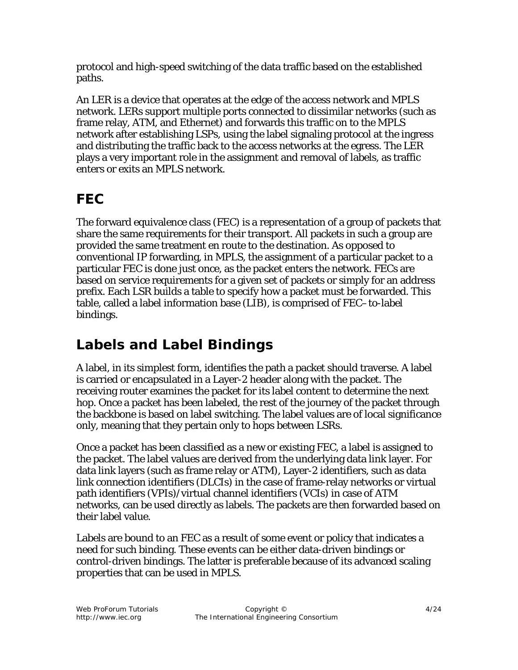protocol and high-speed switching of the data traffic based on the established paths.

An LER is a device that operates at the edge of the access network and MPLS network. LERs support multiple ports connected to dissimilar networks (such as frame relay, ATM, and Ethernet) and forwards this traffic on to the MPLS network after establishing LSPs, using the label signaling protocol at the ingress and distributing the traffic back to the access networks at the egress. The LER plays a very important role in the assignment and removal of labels, as traffic enters or exits an MPLS network.

## **FEC**

The forward equivalence class (FEC) is a representation of a group of packets that share the same requirements for their transport. All packets in such a group are provided the same treatment en route to the destination. As opposed to conventional IP forwarding, in MPLS, the assignment of a particular packet to a particular FEC is done just once, as the packet enters the network. FECs are based on service requirements for a given set of packets or simply for an address prefix. Each LSR builds a table to specify how a packet must be forwarded. This table, called a label information base (LIB), is comprised of FEC–to-label bindings.

### **Labels and Label Bindings**

A label, in its simplest form, identifies the path a packet should traverse. A label is carried or encapsulated in a Layer-2 header along with the packet. The receiving router examines the packet for its label content to determine the next hop. Once a packet has been labeled, the rest of the journey of the packet through the backbone is based on label switching. The label values are of local significance only, meaning that they pertain only to hops between LSRs.

Once a packet has been classified as a new or existing FEC, a label is assigned to the packet. The label values are derived from the underlying data link layer. For data link layers (such as frame relay or ATM), Layer-2 identifiers, such as data link connection identifiers (DLCIs) in the case of frame-relay networks or virtual path identifiers (VPIs)/virtual channel identifiers (VCIs) in case of ATM networks, can be used directly as labels. The packets are then forwarded based on their label value.

Labels are bound to an FEC as a result of some event or policy that indicates a need for such binding. These events can be either data-driven bindings or control-driven bindings. The latter is preferable because of its advanced scaling properties that can be used in MPLS.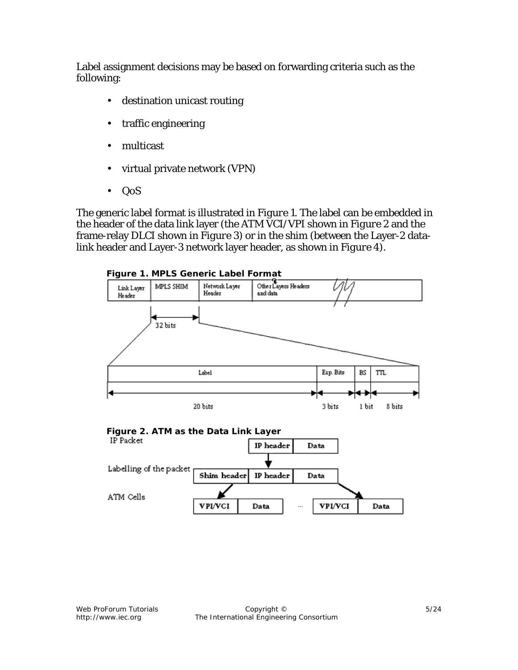Label assignment decisions may be based on forwarding criteria such as the following:

- destination unicast routing
- traffic engineering
- multicast
- virtual private network (VPN)
- QoS

The generic label format is illustrated in *Figure 1*. The label can be embedded in the header of the data link layer (the ATM VCI/VPI shown in *Figure 2* and the frame-relay DLCI shown in *Figure 3*) or in the shim (between the Layer-2 datalink header and Layer-3 network layer header, as shown in *Figure 4*).



ATM Cells

Data

VPI/VCI

VPI/VCI

Data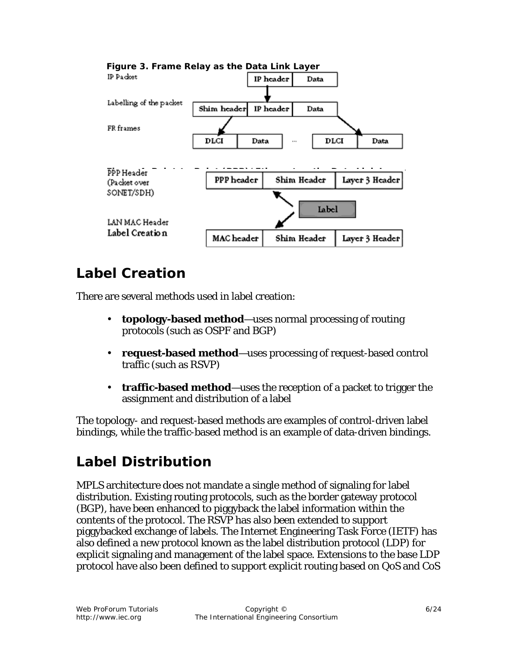

### **Label Creation**

There are several methods used in label creation:

- **topology-based method**—uses normal processing of routing protocols (such as OSPF and BGP)
- **request-based method**—uses processing of request-based control traffic (such as RSVP)
- **traffic-based method**—uses the reception of a packet to trigger the assignment and distribution of a label

The topology- and request-based methods are examples of control-driven label bindings, while the traffic-based method is an example of data-driven bindings.

### **Label Distribution**

MPLS architecture does not mandate a single method of signaling for label distribution. Existing routing protocols, such as the border gateway protocol (BGP), have been enhanced to piggyback the label information within the contents of the protocol. The RSVP has also been extended to support piggybacked exchange of labels. The Internet Engineering Task Force (IETF) has also defined a new protocol known as the label distribution protocol (LDP) for explicit signaling and management of the label space. Extensions to the base LDP protocol have also been defined to support explicit routing based on QoS and CoS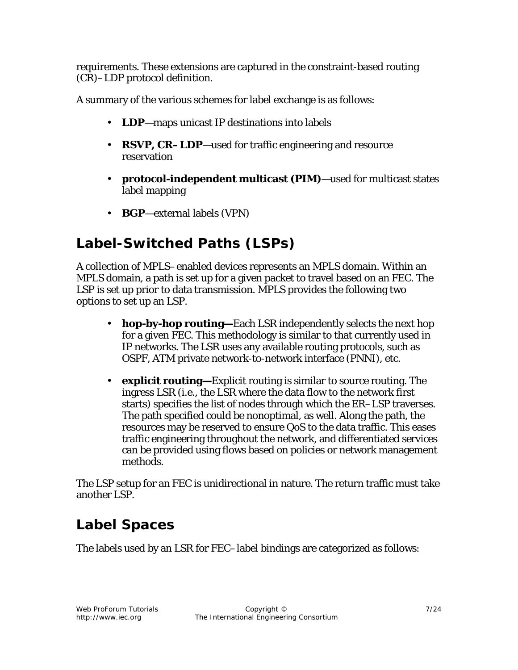requirements. These extensions are captured in the constraint-based routing (CR)–LDP protocol definition.

A summary of the various schemes for label exchange is as follows:

- **LDP**—maps unicast IP destinations into labels
- **RSVP, CR–LDP**—used for traffic engineering and resource reservation
- **protocol-independent multicast (PIM)**—used for multicast states label mapping
- **BGP**—external labels (VPN)

### **Label-Switched Paths (LSPs)**

A collection of MPLS–enabled devices represents an MPLS domain. Within an MPLS domain, a path is set up for a given packet to travel based on an FEC. The LSP is set up prior to data transmission. MPLS provides the following two options to set up an LSP.

- **hop-by-hop routing—Each LSR independently selects the next hop** for a given FEC. This methodology is similar to that currently used in IP networks. The LSR uses any available routing protocols, such as OSPF, ATM private network-to-network interface (PNNI), etc.
- **explicit routing—**Explicit routing is similar to source routing. The ingress LSR (i.e., the LSR where the data flow to the network first starts) specifies the list of nodes through which the ER–LSP traverses. The path specified could be nonoptimal, as well. Along the path, the resources may be reserved to ensure QoS to the data traffic. This eases traffic engineering throughout the network, and differentiated services can be provided using flows based on policies or network management methods.

The LSP setup for an FEC is unidirectional in nature. The return traffic must take another LSP.

### **Label Spaces**

The labels used by an LSR for FEC–label bindings are categorized as follows: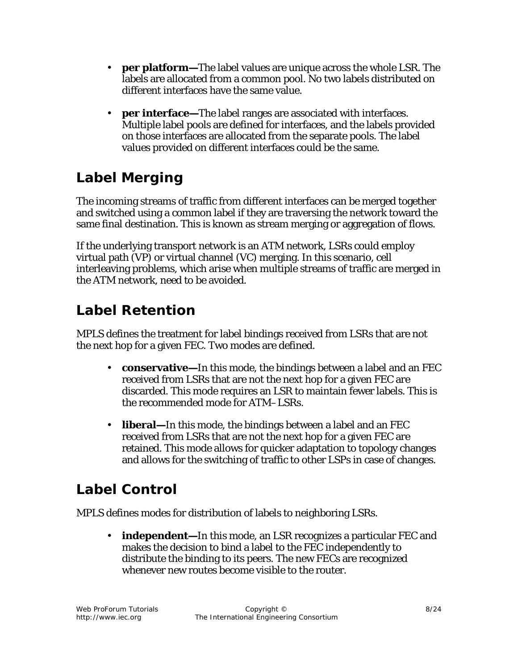- **per platform—**The label values are unique across the whole LSR. The labels are allocated from a common pool. No two labels distributed on different interfaces have the same value.
- **per interface—**The label ranges are associated with interfaces. Multiple label pools are defined for interfaces, and the labels provided on those interfaces are allocated from the separate pools. The label values provided on different interfaces could be the same.

## **Label Merging**

The incoming streams of traffic from different interfaces can be merged together and switched using a common label if they are traversing the network toward the same final destination. This is known as stream merging or aggregation of flows.

If the underlying transport network is an ATM network, LSRs could employ virtual path (VP) or virtual channel (VC) merging. In this scenario, cell interleaving problems, which arise when multiple streams of traffic are merged in the ATM network, need to be avoided.

### **Label Retention**

MPLS defines the treatment for label bindings received from LSRs that are not the next hop for a given FEC. Two modes are defined.

- **conservative—**In this mode, the bindings between a label and an FEC received from LSRs that are not the next hop for a given FEC are discarded. This mode requires an LSR to maintain fewer labels. This is the recommended mode for ATM–LSRs.
- **liberal—**In this mode, the bindings between a label and an FEC received from LSRs that are not the next hop for a given FEC are retained. This mode allows for quicker adaptation to topology changes and allows for the switching of traffic to other LSPs in case of changes.

## **Label Control**

MPLS defines modes for distribution of labels to neighboring LSRs.

• **independent—**In this mode, an LSR recognizes a particular FEC and makes the decision to bind a label to the FEC independently to distribute the binding to its peers. The new FECs are recognized whenever new routes become visible to the router.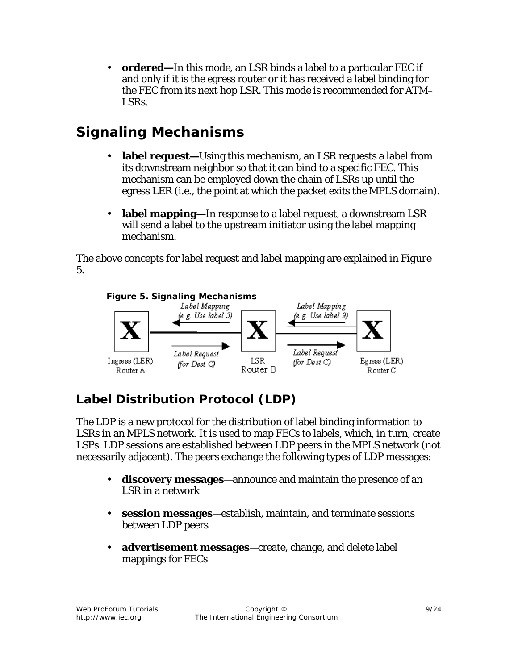• **ordered—**In this mode, an LSR binds a label to a particular FEC if and only if it is the egress router or it has received a label binding for the FEC from its next hop LSR. This mode is recommended for ATM– LSRs.

### **Signaling Mechanisms**

- **label request—**Using this mechanism, an LSR requests a label from its downstream neighbor so that it can bind to a specific FEC. This mechanism can be employed down the chain of LSRs up until the egress LER (i.e., the point at which the packet exits the MPLS domain).
- label mapping—In response to a label request, a downstream LSR will send a label to the upstream initiator using the label mapping mechanism.

The above concepts for label request and label mapping are explained in *Figure 5*.



### **Label Distribution Protocol (LDP)**

The LDP is a new protocol for the distribution of label binding information to LSRs in an MPLS network. It is used to map FECs to labels, which, in turn, create LSPs. LDP sessions are established between LDP peers in the MPLS network (not necessarily adjacent). The peers exchange the following types of LDP messages:

- **discovery messages**—announce and maintain the presence of an LSR in a network
- **session messages**—establish, maintain, and terminate sessions between LDP peers
- **advertisement messages**—create, change, and delete label mappings for FECs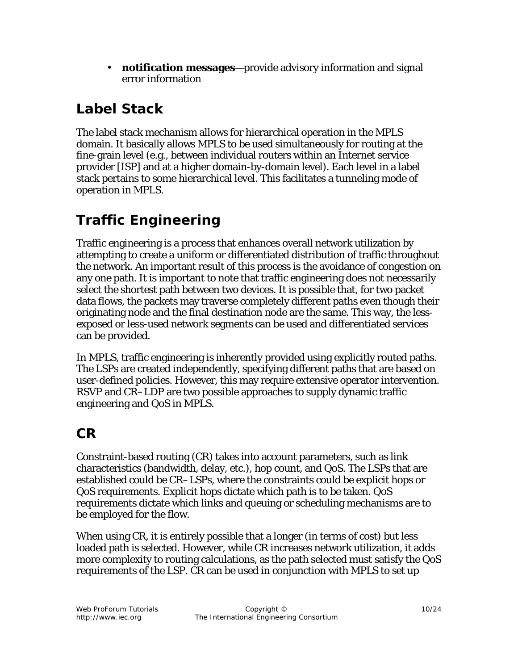• **notification messages**—provide advisory information and signal error information

## **Label Stack**

The label stack mechanism allows for hierarchical operation in the MPLS domain. It basically allows MPLS to be used simultaneously for routing at the fine-grain level (e.g., between individual routers within an Internet service provider [ISP] and at a higher domain-by-domain level). Each level in a label stack pertains to some hierarchical level. This facilitates a tunneling mode of operation in MPLS.

## **Traffic Engineering**

Traffic engineering is a process that enhances overall network utilization by attempting to create a uniform or differentiated distribution of traffic throughout the network. An important result of this process is the avoidance of congestion on any one path. It is important to note that traffic engineering does not necessarily select the shortest path between two devices. It is possible that, for two packet data flows, the packets may traverse completely different paths even though their originating node and the final destination node are the same. This way, the lessexposed or less-used network segments can be used and differentiated services can be provided.

In MPLS, traffic engineering is inherently provided using explicitly routed paths. The LSPs are created independently, specifying different paths that are based on user-defined policies. However, this may require extensive operator intervention. RSVP and CR–LDP are two possible approaches to supply dynamic traffic engineering and QoS in MPLS.

## **CR**

Constraint-based routing (CR) takes into account parameters, such as link characteristics (bandwidth, delay, etc.), hop count, and QoS. The LSPs that are established could be CR–LSPs, where the constraints could be explicit hops or QoS requirements. Explicit hops dictate which path is to be taken. QoS requirements dictate which links and queuing or scheduling mechanisms are to be employed for the flow.

When using CR, it is entirely possible that a longer (in terms of cost) but less loaded path is selected. However, while CR increases network utilization, it adds more complexity to routing calculations, as the path selected must satisfy the QoS requirements of the LSP. CR can be used in conjunction with MPLS to set up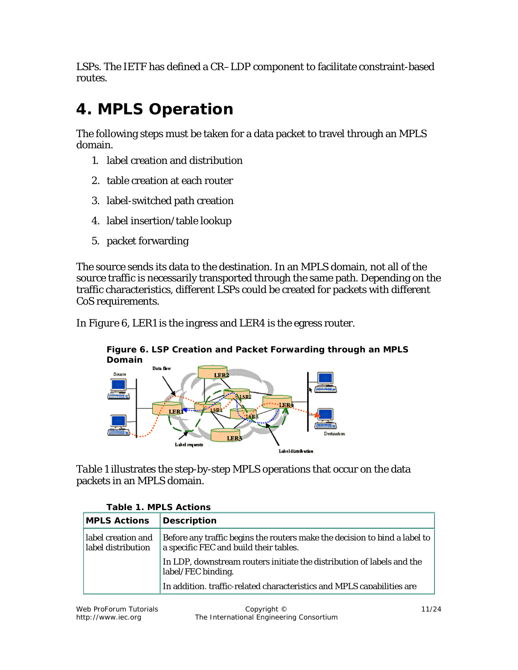LSPs. The IETF has defined a CR–LDP component to facilitate constraint-based routes.

# **4. MPLS Operation**

The following steps must be taken for a data packet to travel through an MPLS domain.

- 1. label creation and distribution
- 2. table creation at each router
- 3. label-switched path creation
- 4. label insertion/table lookup
- 5. packet forwarding

The source sends its data to the destination. In an MPLS domain, not all of the source traffic is necessarily transported through the same path. Depending on the traffic characteristics, different LSPs could be created for packets with different CoS requirements.

In *Figure 6*, LER1 is the ingress and LER4 is the egress router.





*Table 1* illustrates the step-by-step MPLS operations that occur on the data packets in an MPLS domain.

| <b>MPLS Actions</b>                      | Description                                                                                                          |  |
|------------------------------------------|----------------------------------------------------------------------------------------------------------------------|--|
| label creation and<br>label distribution | Before any traffic begins the routers make the decision to bind a label to<br>a specific FEC and build their tables. |  |
|                                          | In LDP, downstream routers initiate the distribution of labels and the<br>label/FEC binding.                         |  |
|                                          | In addition, traffic-related characteristics and MPLS capabilities are                                               |  |

| Table 1. MPLS Actions |  |
|-----------------------|--|
|-----------------------|--|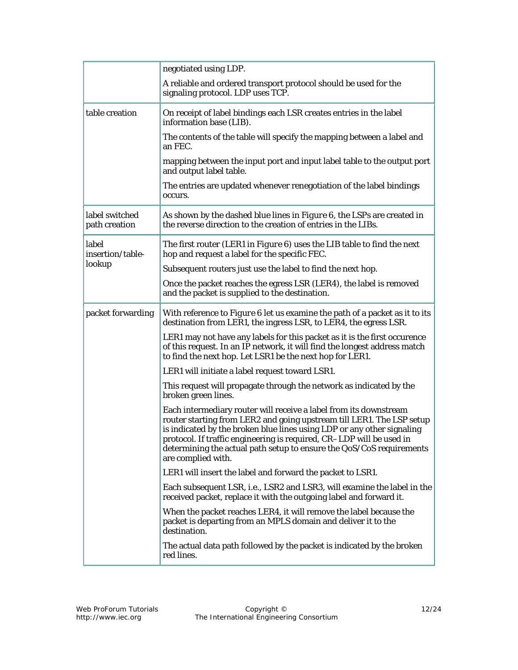|                                 | negotiated using LDP.                                                                                                                                                                                                                                                                                                                                                                      |  |  |  |
|---------------------------------|--------------------------------------------------------------------------------------------------------------------------------------------------------------------------------------------------------------------------------------------------------------------------------------------------------------------------------------------------------------------------------------------|--|--|--|
|                                 | A reliable and ordered transport protocol should be used for the<br>signaling protocol. LDP uses TCP.                                                                                                                                                                                                                                                                                      |  |  |  |
| table creation                  | On receipt of label bindings each LSR creates entries in the label<br>information base (LIB).                                                                                                                                                                                                                                                                                              |  |  |  |
|                                 | The contents of the table will specify the mapping between a label and<br>an FEC.                                                                                                                                                                                                                                                                                                          |  |  |  |
|                                 | mapping between the input port and input label table to the output port<br>and output label table.                                                                                                                                                                                                                                                                                         |  |  |  |
|                                 | The entries are updated whenever renegotiation of the label bindings<br>occurs.                                                                                                                                                                                                                                                                                                            |  |  |  |
| label switched<br>path creation | As shown by the dashed blue lines in $Figure 6$ , the LSPs are created in<br>the reverse direction to the creation of entries in the LIBs.                                                                                                                                                                                                                                                 |  |  |  |
| label<br>insertion/table-       | The first router (LER1 in $Figure 6$ ) uses the LIB table to find the next<br>hop and request a label for the specific FEC.                                                                                                                                                                                                                                                                |  |  |  |
| lookup                          | Subsequent routers just use the label to find the next hop.                                                                                                                                                                                                                                                                                                                                |  |  |  |
|                                 | Once the packet reaches the egress LSR (LER4), the label is removed<br>and the packet is supplied to the destination.                                                                                                                                                                                                                                                                      |  |  |  |
| packet forwarding               | With reference to $Figure 6$ let us examine the path of a packet as it to its<br>destination from LER1, the ingress LSR, to LER4, the egress LSR.                                                                                                                                                                                                                                          |  |  |  |
|                                 | LER1 may not have any labels for this packet as it is the first occurence<br>of this request. In an IP network, it will find the longest address match<br>to find the next hop. Let LSR1 be the next hop for LER1.                                                                                                                                                                         |  |  |  |
|                                 | LER1 will initiate a label request toward LSR1.                                                                                                                                                                                                                                                                                                                                            |  |  |  |
|                                 | This request will propagate through the network as indicated by the<br>broken green lines.                                                                                                                                                                                                                                                                                                 |  |  |  |
|                                 | Each intermediary router will receive a label from its downstream<br>router starting from LER2 and going upstream till LER1. The LSP setup<br>is indicated by the broken blue lines using LDP or any other signaling<br>protocol. If traffic engineering is required, CR-LDP will be used in<br>determining the actual path setup to ensure the QoS/CoS requirements<br>are complied with. |  |  |  |
|                                 | LER1 will insert the label and forward the packet to LSR1.                                                                                                                                                                                                                                                                                                                                 |  |  |  |
|                                 | Each subsequent LSR, i.e., LSR2 and LSR3, will examine the label in the<br>received packet, replace it with the outgoing label and forward it.                                                                                                                                                                                                                                             |  |  |  |
|                                 | When the packet reaches LER4, it will remove the label because the<br>packet is departing from an MPLS domain and deliver it to the<br>destination.                                                                                                                                                                                                                                        |  |  |  |
|                                 | The actual data path followed by the packet is indicated by the broken<br>red lines.                                                                                                                                                                                                                                                                                                       |  |  |  |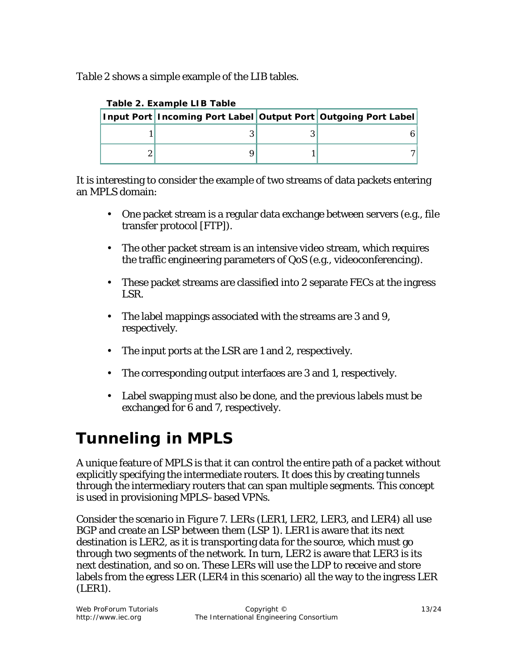*Table 2* shows a simple example of the LIB tables.

|  | Input Port  Incoming Port Label Output Port   Outgoing Port Label |  |  |  |  |
|--|-------------------------------------------------------------------|--|--|--|--|
|  |                                                                   |  |  |  |  |
|  |                                                                   |  |  |  |  |

#### **Table 2. Example LIB Table**

It is interesting to consider the example of two streams of data packets entering an MPLS domain:

- One packet stream is a regular data exchange between servers (e.g., file transfer protocol [FTP]).
- The other packet stream is an intensive video stream, which requires the traffic engineering parameters of QoS (e.g., videoconferencing).
- These packet streams are classified into 2 separate FECs at the ingress LSR.
- The label mappings associated with the streams are 3 and 9, respectively.
- The input ports at the LSR are 1 and 2, respectively.
- The corresponding output interfaces are 3 and 1, respectively.
- Label swapping must also be done, and the previous labels must be exchanged for 6 and 7, respectively.

## **Tunneling in MPLS**

A unique feature of MPLS is that it can control the entire path of a packet without explicitly specifying the intermediate routers. It does this by creating tunnels through the intermediary routers that can span multiple segments. This concept is used in provisioning MPLS–based VPNs.

Consider the scenario in *Figure 7*. LERs (LER1, LER2, LER3, and LER4) all use BGP and create an LSP between them (LSP 1). LER1 is aware that its next destination is LER2, as it is transporting data for the source, which must go through two segments of the network. In turn, LER2 is aware that LER3 is its next destination, and so on. These LERs will use the LDP to receive and store labels from the egress LER (LER4 in this scenario) all the way to the ingress LER (LER1).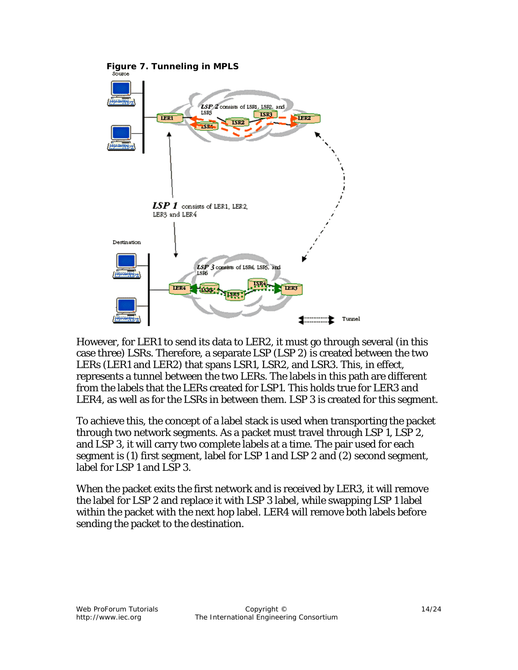

However, for LER1 to send its data to LER2, it must go through several (in this case three) LSRs. Therefore, a separate LSP (LSP 2) is created between the two LERs (LER1 and LER2) that spans LSR1, LSR2, and LSR3. This, in effect, represents a tunnel between the two LERs. The labels in this path are different from the labels that the LERs created for LSP1. This holds true for LER3 and LER4, as well as for the LSRs in between them. LSP 3 is created for this segment.

To achieve this, the concept of a label stack is used when transporting the packet through two network segments. As a packet must travel through LSP 1, LSP 2, and LSP 3, it will carry two complete labels at a time. The pair used for each segment is (1) first segment, label for LSP 1 and LSP 2 and (2) second segment, label for LSP 1 and LSP 3.

When the packet exits the first network and is received by LER3, it will remove the label for LSP 2 and replace it with LSP 3 label, while swapping LSP 1 label within the packet with the next hop label. LER4 will remove both labels before sending the packet to the destination.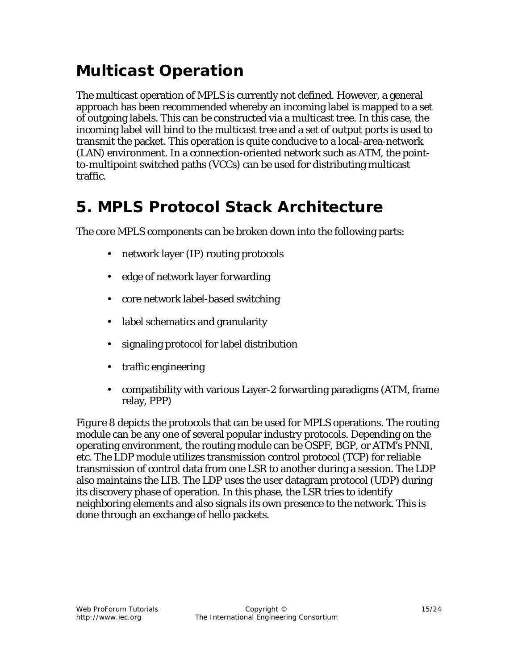## **Multicast Operation**

The multicast operation of MPLS is currently not defined. However, a general approach has been recommended whereby an incoming label is mapped to a set of outgoing labels. This can be constructed via a multicast tree. In this case, the incoming label will bind to the multicast tree and a set of output ports is used to transmit the packet. This operation is quite conducive to a local-area-network (LAN) environment. In a connection-oriented network such as ATM, the pointto-multipoint switched paths (VCCs) can be used for distributing multicast traffic.

## **5. MPLS Protocol Stack Architecture**

The core MPLS components can be broken down into the following parts:

- network layer (IP) routing protocols
- edge of network layer forwarding
- core network label-based switching
- label schematics and granularity
- signaling protocol for label distribution
- traffic engineering
- compatibility with various Layer-2 forwarding paradigms (ATM, frame relay, PPP)

*Figure 8* depicts the protocols that can be used for MPLS operations. The routing module can be any one of several popular industry protocols. Depending on the operating environment, the routing module can be OSPF, BGP, or ATM's PNNI, etc. The LDP module utilizes transmission control protocol (TCP) for reliable transmission of control data from one LSR to another during a session. The LDP also maintains the LIB. The LDP uses the user datagram protocol (UDP) during its discovery phase of operation. In this phase, the LSR tries to identify neighboring elements and also signals its own presence to the network. This is done through an exchange of hello packets.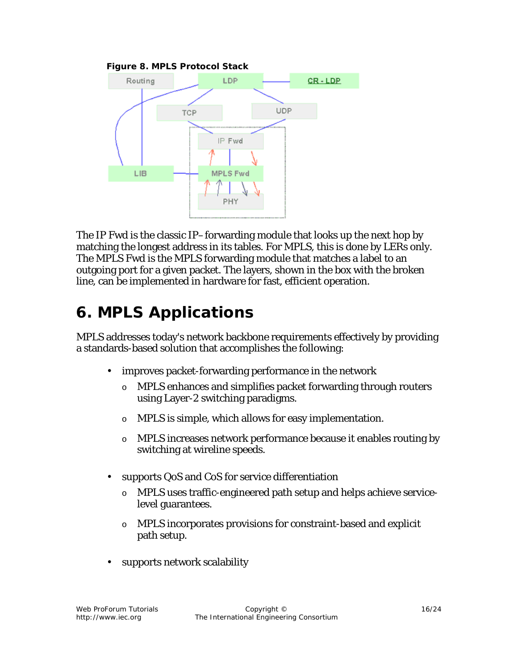

The IP Fwd is the classic IP–forwarding module that looks up the next hop by matching the longest address in its tables. For MPLS, this is done by LERs only. The MPLS Fwd is the MPLS forwarding module that matches a label to an outgoing port for a given packet. The layers, shown in the box with the broken line, can be implemented in hardware for fast, efficient operation.

# **6. MPLS Applications**

MPLS addresses today's network backbone requirements effectively by providing a standards-based solution that accomplishes the following:

- improves packet-forwarding performance in the network
	- o MPLS enhances and simplifies packet forwarding through routers using Layer-2 switching paradigms.
	- o MPLS is simple, which allows for easy implementation.
	- o MPLS increases network performance because it enables routing by switching at wireline speeds.
- supports QoS and CoS for service differentiation
	- o MPLS uses traffic-engineered path setup and helps achieve servicelevel guarantees.
	- o MPLS incorporates provisions for constraint-based and explicit path setup.
- supports network scalability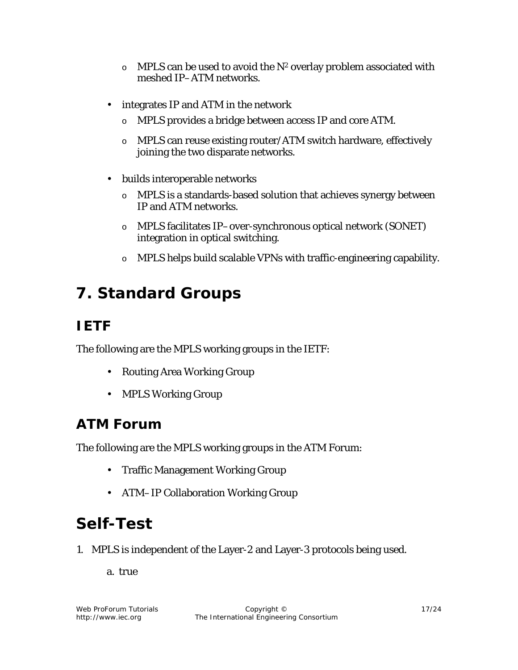- $\circ$  MPLS can be used to avoid the N<sup>2</sup> overlay problem associated with meshed IP–ATM networks.
- integrates IP and ATM in the network
	- o MPLS provides a bridge between access IP and core ATM.
	- o MPLS can reuse existing router/ATM switch hardware, effectively joining the two disparate networks.
- builds interoperable networks
	- o MPLS is a standards-based solution that achieves synergy between IP and ATM networks.
	- o MPLS facilitates IP–over-synchronous optical network (SONET) integration in optical switching.
	- o MPLS helps build scalable VPNs with traffic-engineering capability.

# **7. Standard Groups**

### **IETF**

The following are the MPLS working groups in the IETF:

- Routing Area Working Group
- MPLS Working Group

## **ATM Forum**

The following are the MPLS working groups in the ATM Forum:

- Traffic Management Working Group
- ATM-IP Collaboration Working Group

# **Self-Test**

1. MPLS is independent of the Layer-2 and Layer-3 protocols being used.

a. true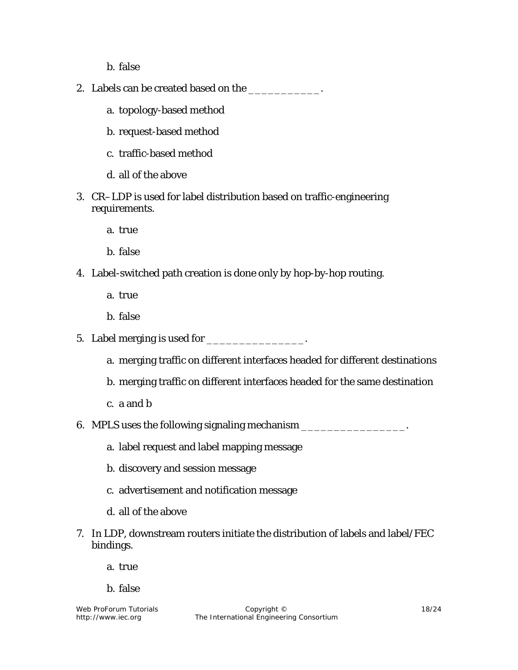- b. false
- 2. Labels can be created based on the  $\qquad \qquad$ 
	- a. topology-based method
	- b. request-based method
	- c. traffic-based method
	- d. all of the above
- 3. CR–LDP is used for label distribution based on traffic-engineering requirements.
	- a. true
	- b. false
- 4. Label-switched path creation is done only by hop-by-hop routing.
	- a. true
	- b. false
- 5. Label merging is used for \_\_\_\_\_\_\_\_\_\_\_\_\_\_\_\_.
	- a. merging traffic on different interfaces headed for different destinations
	- b. merging traffic on different interfaces headed for the same destination
	- c. a and b
- 6. MPLS uses the following signaling mechanism \_\_\_\_\_\_\_\_\_\_\_\_\_\_\_\_\_\_.
	- a. label request and label mapping message
	- b. discovery and session message
	- c. advertisement and notification message
	- d. all of the above
- 7. In LDP, downstream routers initiate the distribution of labels and label/FEC bindings.
	- a. true
	- b. false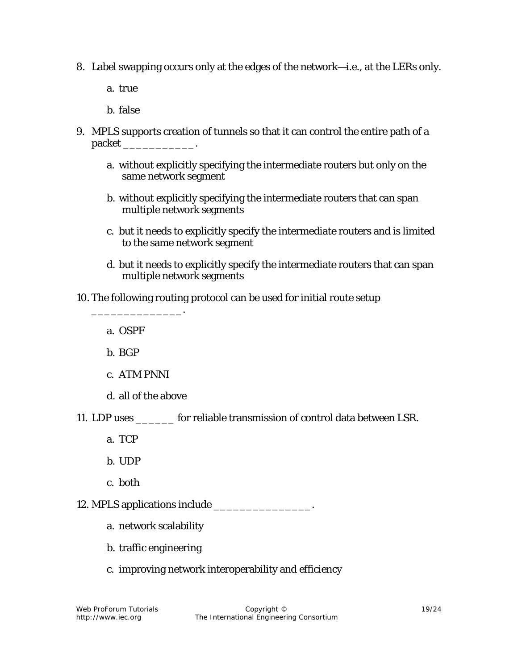- 8. Label swapping occurs only at the edges of the network—i.e., at the LERs only.
	- a. true
	- b. false
- 9. MPLS supports creation of tunnels so that it can control the entire path of a packet \_\_\_\_\_\_\_\_\_\_\_\_\_.
	- a. without explicitly specifying the intermediate routers but only on the same network segment
	- b. without explicitly specifying the intermediate routers that can span multiple network segments
	- c. but it needs to explicitly specify the intermediate routers and is limited to the same network segment
	- d. but it needs to explicitly specify the intermediate routers that can span multiple network segments
- 10. The following routing protocol can be used for initial route setup
	- a. OSPF
	- b. BGP
	- c. ATM PNNI

\_\_\_\_\_\_\_\_\_\_\_\_\_\_.

d. all of the above

11. LDP uses for reliable transmission of control data between LSR.

- a. TCP
- b. UDP
- c. both
- 12. MPLS applications include \_\_\_\_\_\_\_\_\_\_\_\_\_\_\_\_\_.
	- a. network scalability
	- b. traffic engineering
	- c. improving network interoperability and efficiency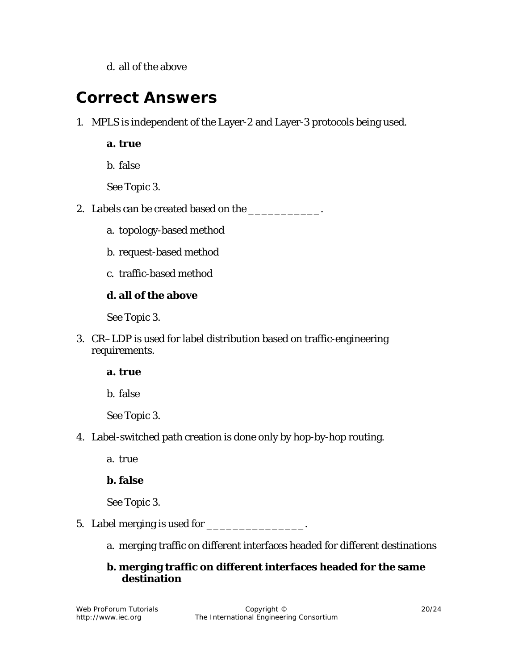d. all of the above

### **Correct Answers**

- 1. MPLS is independent of the Layer-2 and Layer-3 protocols being used.
	- **a. true**
	- b. false
	- See Topic 3.
- 2. Labels can be created based on the \_\_\_\_\_\_\_\_\_\_\_\_\_.
	- a. topology-based method
	- b. request-based method
	- c. traffic-based method

#### **d. all of the above**

See Topic 3.

3. CR–LDP is used for label distribution based on traffic-engineering requirements.

**a. true** 

b. false

See Topic 3.

4. Label-switched path creation is done only by hop-by-hop routing.

a. true

#### **b. false**

See Topic 3.

- 5. Label merging is used for  $\frac{1}{2}$   $\frac{1}{2}$   $\frac{1}{2}$   $\frac{1}{2}$   $\frac{1}{2}$   $\frac{1}{2}$   $\frac{1}{2}$   $\frac{1}{2}$   $\frac{1}{2}$   $\frac{1}{2}$   $\frac{1}{2}$   $\frac{1}{2}$   $\frac{1}{2}$   $\frac{1}{2}$   $\frac{1}{2}$   $\frac{1}{2}$   $\frac{1}{2}$   $\frac{1}{2}$   $\frac{1}{2}$   $\$ 
	- a. merging traffic on different interfaces headed for different destinations

#### **b. merging traffic on different interfaces headed for the same destination**

Web ProForum Tutorials http://www.iec.org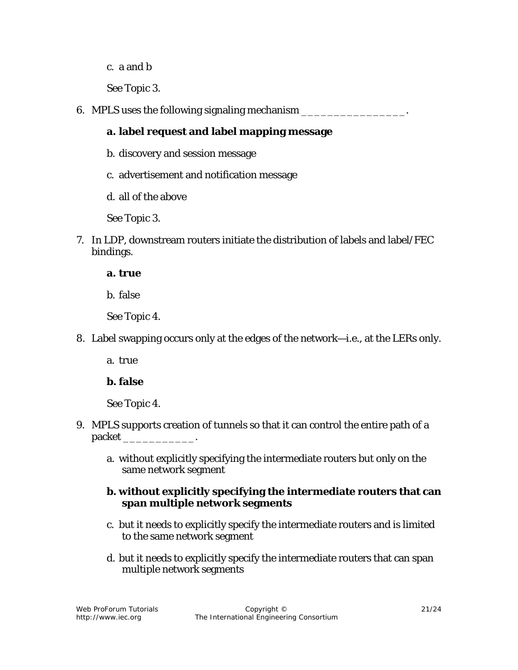c. a and b

See Topic 3.

6. MPLS uses the following signaling mechanism \_\_\_\_\_\_\_\_\_\_\_\_\_\_\_\_\_\_\_\_\_\_\_\_\_\_\_\_\_\_\_\_\_

#### **a. label request and label mapping message**

- b. discovery and session message
- c. advertisement and notification message
- d. all of the above

See Topic 3.

7. In LDP, downstream routers initiate the distribution of labels and label/FEC bindings.

**a. true** 

b. false

See Topic 4.

8. Label swapping occurs only at the edges of the network—i.e., at the LERs only.

a. true

**b. false** 

See Topic 4.

- 9. MPLS supports creation of tunnels so that it can control the entire path of a packet \_\_\_\_\_\_\_\_\_\_\_.
	- a. without explicitly specifying the intermediate routers but only on the same network segment

#### **b. without explicitly specifying the intermediate routers that can span multiple network segments**

- c. but it needs to explicitly specify the intermediate routers and is limited to the same network segment
- d. but it needs to explicitly specify the intermediate routers that can span multiple network segments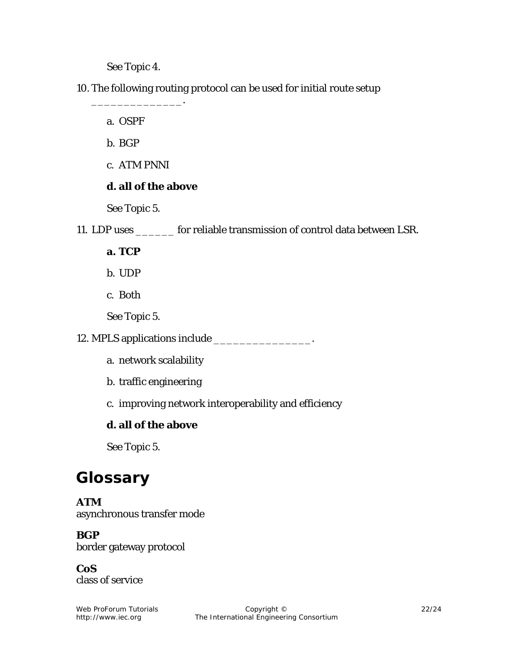See Topic 4.

\_\_\_\_\_\_\_\_\_\_\_\_\_\_.

- 10. The following routing protocol can be used for initial route setup
	- a. OSPF
	- b. BGP
	- c. ATM PNNI

#### **d. all of the above**

See Topic 5.

11. LDP uses \_\_\_\_\_\_ for reliable transmission of control data between LSR.

- **a. TCP**
- b. UDP
- c. Both

See Topic 5.

12. MPLS applications include \_\_\_\_\_\_\_\_\_\_\_\_\_\_\_\_\_.

- a. network scalability
- b. traffic engineering
- c. improving network interoperability and efficiency

#### **d. all of the above**

See Topic 5.

## **Glossary**

**ATM**  asynchronous transfer mode

#### **BGP**

border gateway protocol

#### **CoS**  class of service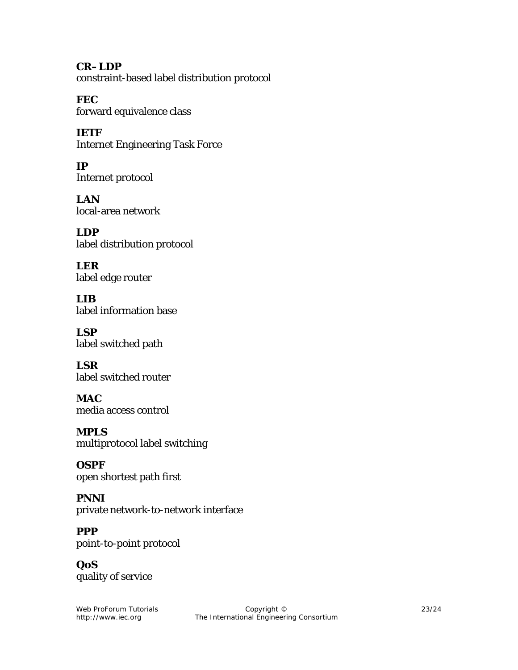**CR–LDP**  constraint-based label distribution protocol

**FEC**  forward equivalence class

**IETF**  Internet Engineering Task Force

**IP**  Internet protocol

**LAN**  local-area network

**LDP**  label distribution protocol

**LER**  label edge router

**LIB**  label information base

**LSP**  label switched path

**LSR**  label switched router

**MAC**  media access control

**MPLS**  multiprotocol label switching

**OSPF**  open shortest path first

**PNNI**  private network-to-network interface

**PPP**  point-to-point protocol

**QoS**  quality of service

Web ProForum Tutorials http://www.iec.org